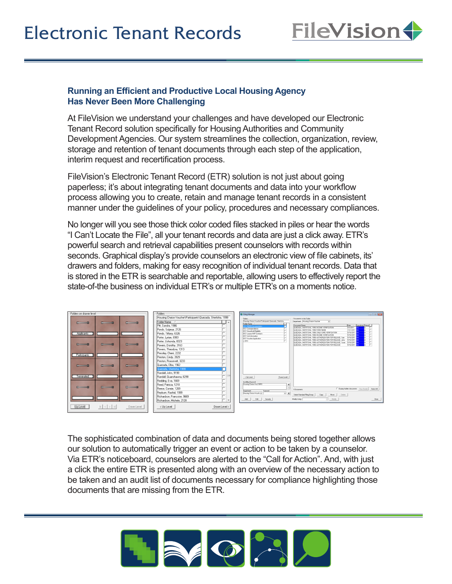

## **Running an Efficient and Productive Local Housing Agency Has Never Been More Challenging**

At FileVision we understand your challenges and have developed our Electronic Tenant Record solution specifically for Housing Authorities and Community Development Agencies. Our system streamlines the collection, organization, review, storage and retention of tenant documents through each step of the application, interim request and recertification process.

FileVision's Electronic Tenant Record (ETR) solution is not just about going paperless; it's about integrating tenant documents and data into your workflow process allowing you to create, retain and manage tenant records in a consistent manner under the guidelines of your policy, procedures and necessary compliances.

No longer will you see those thick color coded files stacked in piles or hear the words "I Can't Locate the File", all your tenant records and data are just a click away. ETR's powerful search and retrieval capabilities present counselors with records within seconds. Graphical display's provide counselors an electronic view of file cabinets, its' drawers and folders, making for easy recognition of individual tenant records. Data that is stored in the ETR is searchable and reportable, allowing users to effectively report the state-of-the business on individual ETR's or multiple ETR's on a moments notice.

|                                                                                                                |                                                                                                                                                                                                                                                                                                                                                                                                                                                         | <b>C</b> Filing Manager<br><b>PO 0 15</b>                                                                                                                                                                                                                                                                                                                                                                                                                                                                                                                                                                                                                                                                                                                                                                                                                                                                                                                                         |
|----------------------------------------------------------------------------------------------------------------|---------------------------------------------------------------------------------------------------------------------------------------------------------------------------------------------------------------------------------------------------------------------------------------------------------------------------------------------------------------------------------------------------------------------------------------------------------|-----------------------------------------------------------------------------------------------------------------------------------------------------------------------------------------------------------------------------------------------------------------------------------------------------------------------------------------------------------------------------------------------------------------------------------------------------------------------------------------------------------------------------------------------------------------------------------------------------------------------------------------------------------------------------------------------------------------------------------------------------------------------------------------------------------------------------------------------------------------------------------------------------------------------------------------------------------------------------------|
| Folders on drawer level<br>$-$<br>Applicants<br>$-3$<br>$\sim$<br>Participants<br>$-3$<br>$\sim$<br>Terminated | Folders<br>Housing Choice Voucher\Participants\Quezada, Shertisha, 1999<br>Folder Name /<br>Pitt. Sandra, 1986<br>Ponds, Solymar, 2126<br>Ponds, Tiffany, 6326<br>Porter, Lyrian, 6983<br>Porter, Ushonda, 8323<br>Powers, Dorothy, 3163<br>Powers, Theodora, 1313<br>Pressley, Cherri, 2232<br>Preston, Cindy, 3929<br>Preston, Roosevelt, 3233<br>Quezada, Elba, 1962<br>Quezada, Shertisha, 1999<br>Randall, John, 9198<br>Randall, Quanshawna, 6298 | Documents in the Folder<br>Fräher:<br>Housing Choice Voucher/Participants/Quezada, Sherlisha,<br>Department: Housing Choice Voucher<br>$\overline{\phantom{a}}$<br>Folder Name /<br>Document Name<br>Date \ Sensitivity Status<br>V 50058 Documentation<br>QUEZADA SHERTISHA 1999 INCOME VERIFICATION<br>8/3/2011<br>HEV Conespondence<br>QUEZICA SHERTISHA 1999 FORM 50058<br>7/21/2011<br>HCV Household Eliability<br>5/10/2011<br>QUEZADA, SHERTISHA, 1999, CHILD CARE VERIFICATION<br>HDV Leases HAP Contracts<br>5/10/2011<br>QUEZADA, SHERTISHA, 1999, INDOME VERIFICATION<br>HEV Unit Information<br>5/10/2011<br>QUEZADA, SHERTISHA, 1999, AUTHORIZATION FOR RELEASE, Sam<br>HDV Voucher Application<br>5/10/2011<br>QUEZADA, SHERTISHA, 1999, AUTHORIZATION FOR RELEASE, John<br>52010<br>QUEZADA, SHERTISHA, 1999, AUTHORIZATION FOR RELEASE, Surie<br>5/10/2011 84<br>QUEZADA, SHERTISHA, 1999, AUTHORIZATION FOR RELEASE<br>5/10/2011 84<br>< Up Level<br>Down Level> |
| $-5$<br>$-$<br>Up Level<br> k  <  <br>Down Level                                                               | Redding, Eva, 1669<br>Reed, Patricia, 1218<br>Reese, Connie, 1269<br>Revburn, Rashid, 1999<br>Richardson, Francoise, 9669<br>Richardson, Michele, 2128<br>Down Level ><br>< Up Level                                                                                                                                                                                                                                                                    | Autofilma Keyword<br>Housing Choice Voul10010<br>비<br>$-1$<br>F Display hidden documents View Details<br>SelectAl<br>8 Documents<br>Department<br>Kewword<br>Housing Choice Vouch: v<br>$- +$<br>Select Standard Filing Group<br>Copy  <br>Nove<br>Delete<br>Edit  <br>Security<br>Modily Using:<br>v Modily<br>Add  <br>Clove                                                                                                                                                                                                                                                                                                                                                                                                                                                                                                                                                                                                                                                    |

The sophisticated combination of data and documents being stored together allows our solution to automatically trigger an event or action to be taken by a counselor. Via ETR's noticeboard, counselors are alerted to the "Call for Action". And, with just a click the entire ETR is presented along with an overview of the necessary action to be taken and an audit list of documents necessary for compliance highlighting those documents that are missing from the ETR.